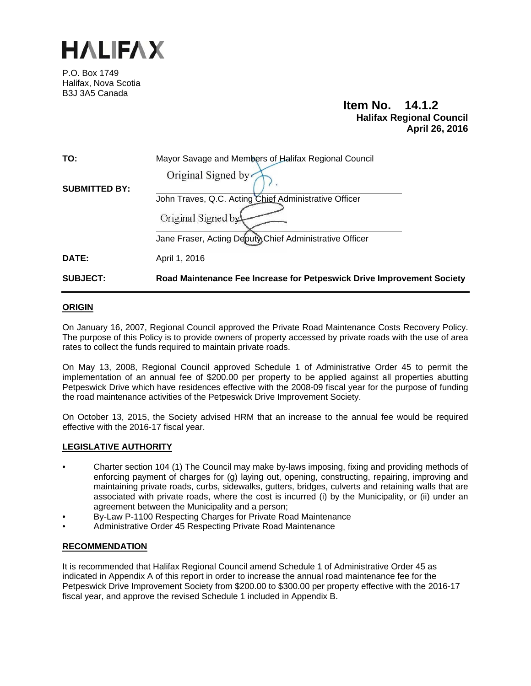

P.O. Box 1749 Halifax, Nova Scotia B3J 3A5 Canada

# **Item No. 14.1.2 Halifax Regional Council April 26, 2016**

| <b>SUBJECT:</b>      | Road Maintenance Fee Increase for Petpeswick Drive Improvement Society |
|----------------------|------------------------------------------------------------------------|
| DATE:                | April 1, 2016                                                          |
|                      | Jane Fraser, Acting Deputy Chief Administrative Officer                |
|                      | Original Signed by                                                     |
|                      | John Traves, Q.C. Acting Chief Administrative Officer                  |
| <b>SUBMITTED BY:</b> |                                                                        |
|                      | Original Signed by                                                     |
| TO:                  | Mayor Savage and Members of Halifax Regional Council                   |
|                      |                                                                        |

## **ORIGIN**

On January 16, 2007, Regional Council approved the Private Road Maintenance Costs Recovery Policy. The purpose of this Policy is to provide owners of property accessed by private roads with the use of area rates to collect the funds required to maintain private roads.

On May 13, 2008, Regional Council approved Schedule 1 of Administrative Order 45 to permit the implementation of an annual fee of \$200.00 per property to be applied against all properties abutting Petpeswick Drive which have residences effective with the 2008-09 fiscal year for the purpose of funding the road maintenance activities of the Petpeswick Drive Improvement Society.

On October 13, 2015, the Society advised HRM that an increase to the annual fee would be required effective with the 2016-17 fiscal year.

## **LEGISLATIVE AUTHORITY**

- Charter section 104 (1) The Council may make by-laws imposing, fixing and providing methods of enforcing payment of charges for (g) laying out, opening, constructing, repairing, improving and maintaining private roads, curbs, sidewalks, gutters, bridges, culverts and retaining walls that are associated with private roads, where the cost is incurred (i) by the Municipality, or (ii) under an agreement between the Municipality and a person;
- By-Law P-1100 Respecting Charges for Private Road Maintenance
- Administrative Order 45 Respecting Private Road Maintenance

## **RECOMMENDATION**

It is recommended that Halifax Regional Council amend Schedule 1 of Administrative Order 45 as indicated in Appendix A of this report in order to increase the annual road maintenance fee for the Petpeswick Drive Improvement Society from \$200.00 to \$300.00 per property effective with the 2016-17 fiscal year, and approve the revised Schedule 1 included in Appendix B.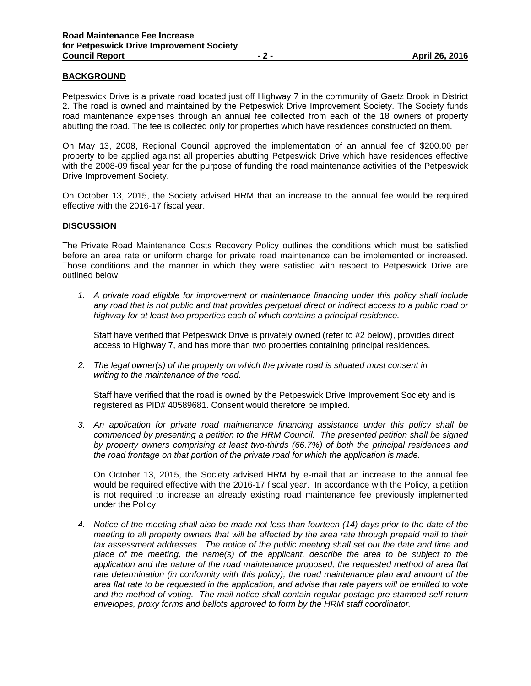# **BACKGROUND**

Petpeswick Drive is a private road located just off Highway 7 in the community of Gaetz Brook in District 2. The road is owned and maintained by the Petpeswick Drive Improvement Society. The Society funds road maintenance expenses through an annual fee collected from each of the 18 owners of property abutting the road. The fee is collected only for properties which have residences constructed on them.

On May 13, 2008, Regional Council approved the implementation of an annual fee of \$200.00 per property to be applied against all properties abutting Petpeswick Drive which have residences effective with the 2008-09 fiscal year for the purpose of funding the road maintenance activities of the Petpeswick Drive Improvement Society.

On October 13, 2015, the Society advised HRM that an increase to the annual fee would be required effective with the 2016-17 fiscal year.

#### **DISCUSSION**

The Private Road Maintenance Costs Recovery Policy outlines the conditions which must be satisfied before an area rate or uniform charge for private road maintenance can be implemented or increased. Those conditions and the manner in which they were satisfied with respect to Petpeswick Drive are outlined below.

*1. A private road eligible for improvement or maintenance financing under this policy shall include any road that is not public and that provides perpetual direct or indirect access to a public road or highway for at least two properties each of which contains a principal residence.* 

 Staff have verified that Petpeswick Drive is privately owned (refer to #2 below), provides direct access to Highway 7, and has more than two properties containing principal residences.

*2. The legal owner(s) of the property on which the private road is situated must consent in writing to the maintenance of the road.* 

 Staff have verified that the road is owned by the Petpeswick Drive Improvement Society and is registered as PID# 40589681. Consent would therefore be implied.

*3. An application for private road maintenance financing assistance under this policy shall be commenced by presenting a petition to the HRM Council. The presented petition shall be signed by property owners comprising at least two-thirds (66.7%) of both the principal residences and the road frontage on that portion of the private road for which the application is made.* 

 On October 13, 2015, the Society advised HRM by e-mail that an increase to the annual fee would be required effective with the 2016-17 fiscal year. In accordance with the Policy, a petition is not required to increase an already existing road maintenance fee previously implemented under the Policy.

*4. Notice of the meeting shall also be made not less than fourteen (14) days prior to the date of the meeting to all property owners that will be affected by the area rate through prepaid mail to their tax assessment addresses. The notice of the public meeting shall set out the date and time and place of the meeting, the name(s) of the applicant, describe the area to be subject to the application and the nature of the road maintenance proposed, the requested method of area flat rate determination (in conformity with this policy), the road maintenance plan and amount of the area flat rate to be requested in the application, and advise that rate payers will be entitled to vote and the method of voting. The mail notice shall contain regular postage pre-stamped self-return envelopes, proxy forms and ballots approved to form by the HRM staff coordinator.*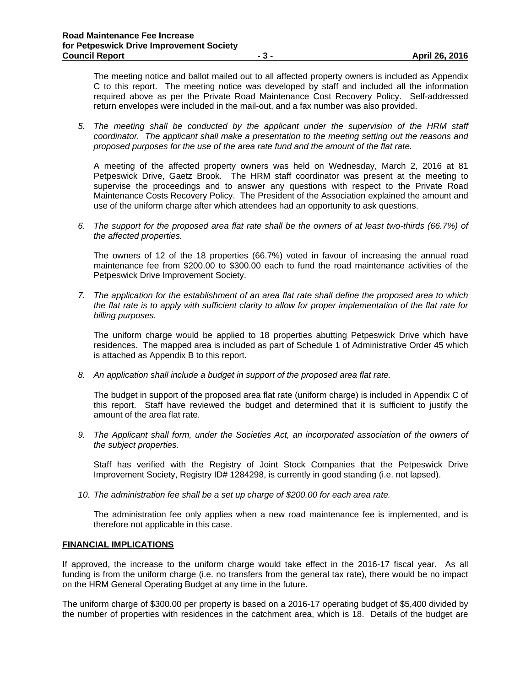The meeting notice and ballot mailed out to all affected property owners is included as Appendix C to this report. The meeting notice was developed by staff and included all the information required above as per the Private Road Maintenance Cost Recovery Policy. Self-addressed return envelopes were included in the mail-out, and a fax number was also provided.

*5. The meeting shall be conducted by the applicant under the supervision of the HRM staff coordinator. The applicant shall make a presentation to the meeting setting out the reasons and proposed purposes for the use of the area rate fund and the amount of the flat rate.* 

A meeting of the affected property owners was held on Wednesday, March 2, 2016 at 81 Petpeswick Drive, Gaetz Brook. The HRM staff coordinator was present at the meeting to supervise the proceedings and to answer any questions with respect to the Private Road Maintenance Costs Recovery Policy. The President of the Association explained the amount and use of the uniform charge after which attendees had an opportunity to ask questions.

*6. The support for the proposed area flat rate shall be the owners of at least two-thirds (66.7%) of the affected properties.* 

The owners of 12 of the 18 properties (66.7%) voted in favour of increasing the annual road maintenance fee from \$200.00 to \$300.00 each to fund the road maintenance activities of the Petpeswick Drive Improvement Society.

*7. The application for the establishment of an area flat rate shall define the proposed area to which the flat rate is to apply with sufficient clarity to allow for proper implementation of the flat rate for billing purposes.* 

The uniform charge would be applied to 18 properties abutting Petpeswick Drive which have residences. The mapped area is included as part of Schedule 1 of Administrative Order 45 which is attached as Appendix B to this report.

*8. An application shall include a budget in support of the proposed area flat rate.* 

The budget in support of the proposed area flat rate (uniform charge) is included in Appendix C of this report. Staff have reviewed the budget and determined that it is sufficient to justify the amount of the area flat rate.

*9. The Applicant shall form, under the Societies Act, an incorporated association of the owners of the subject properties.* 

Staff has verified with the Registry of Joint Stock Companies that the Petpeswick Drive Improvement Society, Registry ID# 1284298, is currently in good standing (i.e. not lapsed).

*10. The administration fee shall be a set up charge of \$200.00 for each area rate.* 

 The administration fee only applies when a new road maintenance fee is implemented, and is therefore not applicable in this case.

#### **FINANCIAL IMPLICATIONS**

If approved, the increase to the uniform charge would take effect in the 2016-17 fiscal year. As all funding is from the uniform charge (i.e. no transfers from the general tax rate), there would be no impact on the HRM General Operating Budget at any time in the future.

The uniform charge of \$300.00 per property is based on a 2016-17 operating budget of \$5,400 divided by the number of properties with residences in the catchment area, which is 18. Details of the budget are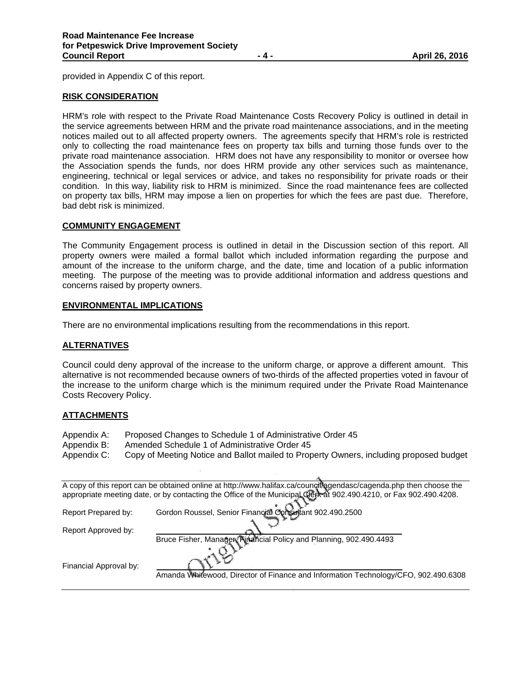provided in Appendix C of this report.

#### **RISK CONSIDERATION**

HRM's role with respect to the Private Road Maintenance Costs Recovery Policy is outlined in detail in the service agreements between HRM and the private road maintenance associations, and in the meeting notices mailed out to all affected property owners. The agreements specify that HRM's role is restricted only to collecting the road maintenance fees on property tax bills and turning those funds over to the private road maintenance association. HRM does not have any responsibility to monitor or oversee how the Association spends the funds, nor does HRM provide any other services such as maintenance, engineering, technical or legal services or advice, and takes no responsibility for private roads or their condition. In this way, liability risk to HRM is minimized. Since the road maintenance fees are collected on property tax bills, HRM may impose a lien on properties for which the fees are past due. Therefore, bad debt risk is minimized.

#### **COMMUNITY ENGAGEMENT**

The Community Engagement process is outlined in detail in the Discussion section of this report. All property owners were mailed a formal ballot which included information regarding the purpose and amount of the increase to the uniform charge, and the date, time and location of a public information meeting. The purpose of the meeting was to provide additional information and address questions and concerns raised by property owners.

#### **ENVIRONMENTAL IMPLICATIONS**

There are no environmental implications resulting from the recommendations in this report.

## **ALTERNATIVES**

Council could deny approval of the increase to the uniform charge, or approve a different amount. This alternative is not recommended because owners of two-thirds of the affected properties voted in favour of the increase to the uniform charge which is the minimum required under the Private Road Maintenance Costs Recovery Policy.

#### **ATTACHMENTS**

- Appendix A: Proposed Changes to Schedule 1 of Administrative Order 45
- Appendix B: Amended Schedule 1 of Administrative Order 45
- Appendix C: Copy of Meeting Notice and Ballot mailed to Property Owners, including proposed budget

|                        | A copy of this report can be obtained online at http://www.halifax.ca/coungtregendasc/cagenda.php then choose the  |
|------------------------|--------------------------------------------------------------------------------------------------------------------|
|                        | appropriate meeting date, or by contacting the Office of the Municipal Qlerk at 902.490.4210, or Fax 902.490.4208. |
|                        | Gordon Roussel, Senior Financial Consultant 902.490.2500                                                           |
| Report Prepared by:    |                                                                                                                    |
| Report Approved by:    |                                                                                                                    |
|                        | Bruce Fisher, Manager, Financial Policy and Planning, 902.490.4493                                                 |
|                        |                                                                                                                    |
| Financial Approval by: |                                                                                                                    |
|                        | Amanda Whitewood, Director of Finance and Information Technology/CFO, 902.490.6308                                 |
|                        |                                                                                                                    |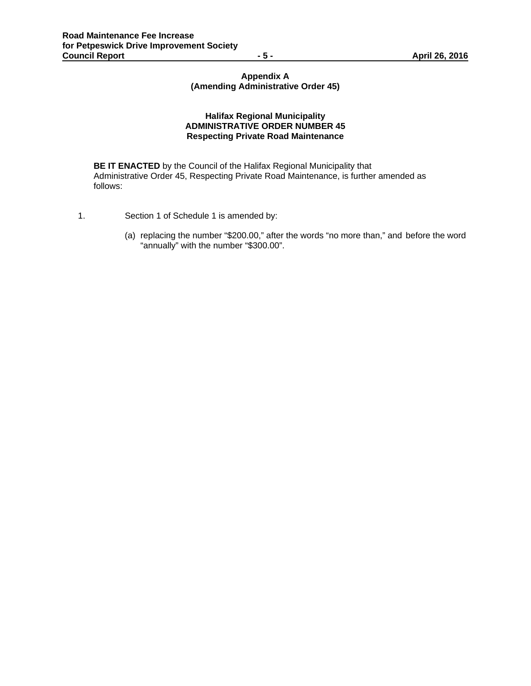# **Appendix A (Amending Administrative Order 45)**

## **Halifax Regional Municipality ADMINISTRATIVE ORDER NUMBER 45 Respecting Private Road Maintenance**

 **BE IT ENACTED** by the Council of the Halifax Regional Municipality that Administrative Order 45, Respecting Private Road Maintenance, is further amended as follows:

- 1. Section 1 of Schedule 1 is amended by:
	- (a) replacing the number "\$200.00," after the words "no more than," and before the word "annually" with the number "\$300.00".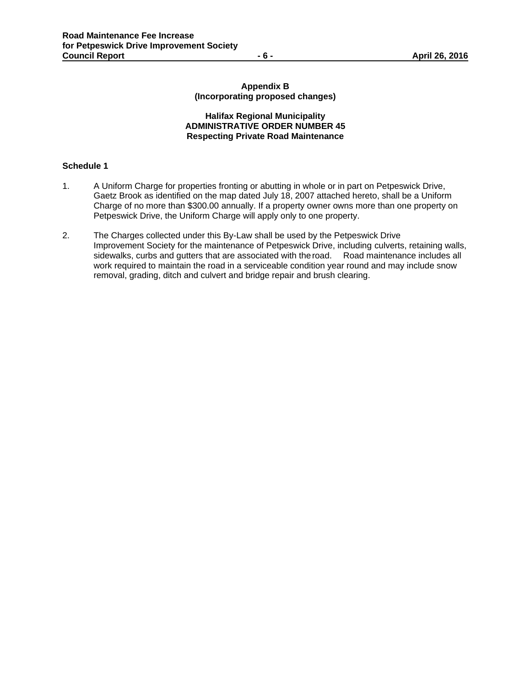## **Appendix B (Incorporating proposed changes)**

## **Halifax Regional Municipality ADMINISTRATIVE ORDER NUMBER 45 Respecting Private Road Maintenance**

## **Schedule 1**

- 1. A Uniform Charge for properties fronting or abutting in whole or in part on Petpeswick Drive, Gaetz Brook as identified on the map dated July 18, 2007 attached hereto, shall be a Uniform Charge of no more than \$300.00 annually. If a property owner owns more than one property on Petpeswick Drive, the Uniform Charge will apply only to one property.
- 2. The Charges collected under this By-Law shall be used by the Petpeswick Drive Improvement Society for the maintenance of Petpeswick Drive, including culverts, retaining walls, sidewalks, curbs and gutters that are associated with the road. Road maintenance includes all work required to maintain the road in a serviceable condition year round and may include snow removal, grading, ditch and culvert and bridge repair and brush clearing.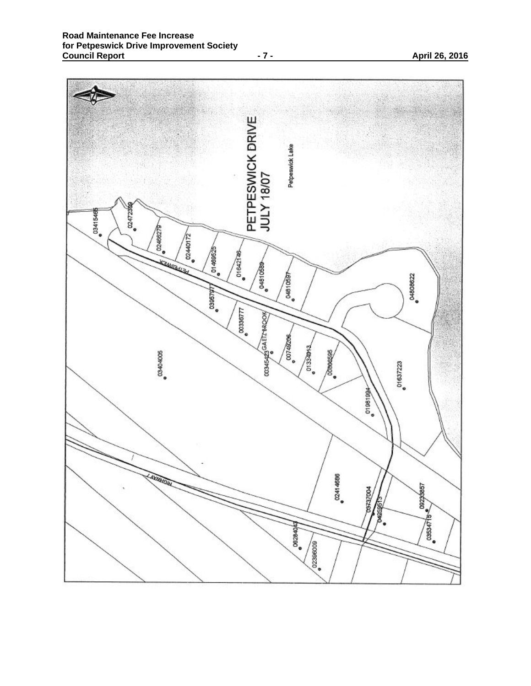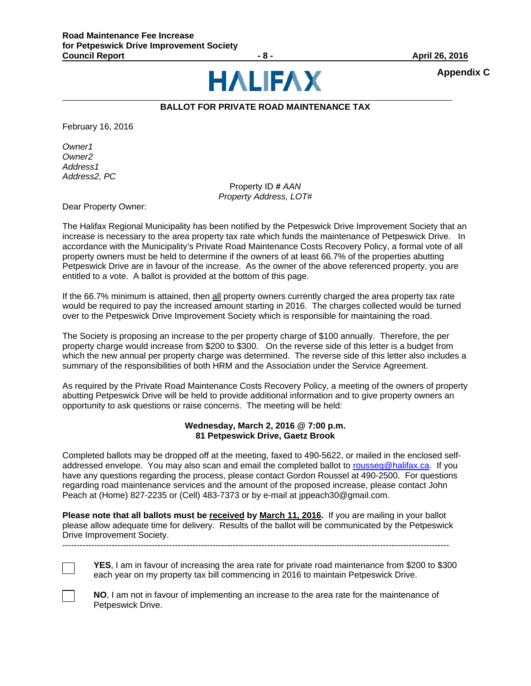

**Appendix C** 

# **BALLOT FOR PRIVATE ROAD MAINTENANCE TAX**

February 16, 2016

*Owner1 Owner2 Address1 Address2, PC*

Property ID **#** *AAN Property Address, LOT#*

Dear Property Owner:

The Halifax Regional Municipality has been notified by the Petpeswick Drive Improvement Society that an increase is necessary to the area property tax rate which funds the maintenance of Petpeswick Drive. In accordance with the Municipality's Private Road Maintenance Costs Recovery Policy, a formal vote of all property owners must be held to determine if the owners of at least 66.7% of the properties abutting Petpeswick Drive are in favour of the increase. As the owner of the above referenced property, you are entitled to a vote. A ballot is provided at the bottom of this page.

If the 66.7% minimum is attained, then all property owners currently charged the area property tax rate would be required to pay the increased amount starting in 2016. The charges collected would be turned over to the Petpeswick Drive Improvement Society which is responsible for maintaining the road.

The Society is proposing an increase to the per property charge of \$100 annually. Therefore, the per property charge would increase from \$200 to \$300. On the reverse side of this letter is a budget from which the new annual per property charge was determined. The reverse side of this letter also includes a summary of the responsibilities of both HRM and the Association under the Service Agreement.

As required by the Private Road Maintenance Costs Recovery Policy, a meeting of the owners of property abutting Petpeswick Drive will be held to provide additional information and to give property owners an opportunity to ask questions or raise concerns. The meeting will be held:

#### **Wednesday, March 2, 2016 @ 7:00 p.m. 81 Petpeswick Drive, Gaetz Brook**

Completed ballots may be dropped off at the meeting, faxed to 490-5622, or mailed in the enclosed selfaddressed envelope. You may also scan and email the completed ballot to rousseg@halifax.ca. If you have any questions regarding the process, please contact Gordon Roussel at 490-2500. For questions regarding road maintenance services and the amount of the proposed increase, please contact John Peach at (Home) 827-2235 or (Cell) 483-7373 or by e-mail at jppeach30@gmail.com.

**Please note that all ballots must be received by March 11, 2016.** If you are mailing in your ballot please allow adequate time for delivery. Results of the ballot will be communicated by the Petpeswick Drive Improvement Society.

--------------------------------------------------------------------------------------------------------------------------------------

**YES**, I am in favour of increasing the area rate for private road maintenance from \$200 to \$300 each year on my property tax bill commencing in 2016 to maintain Petpeswick Drive.



**NO**, I am not in favour of implementing an increase to the area rate for the maintenance of Petpeswick Drive.